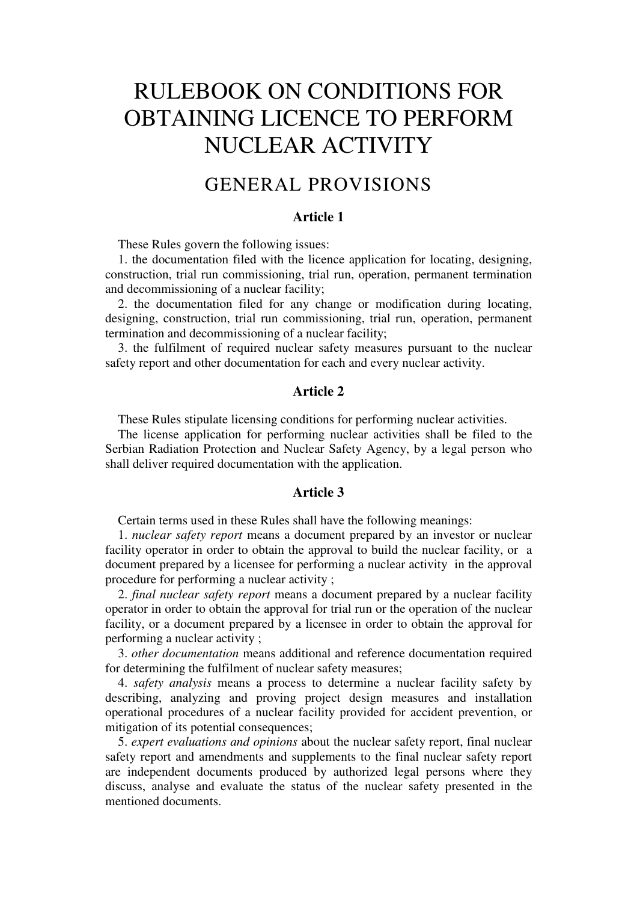# RULEBOOK ON CONDITIONS FOR OBTAINING LICENCE TO PERFORM NUCLEAR ACTIVITY

### GENERAL PROVISIONS

#### **Article 1**

These Rules govern the following issues:

1. the documentation filed with the licence application for locating, designing, construction, trial run commissioning, trial run, operation, permanent termination and decommissioning of a nuclear facility;

2. the documentation filed for any change or modification during locating, designing, construction, trial run commissioning, trial run, operation, permanent termination and decommissioning of a nuclear facility;

3. the fulfilment of required nuclear safety measures pursuant to the nuclear safety report and other documentation for each and every nuclear activity.

#### **Article 2**

These Rules stipulate licensing conditions for performing nuclear activities.

The license application for performing nuclear activities shall be filed to the Serbian Radiation Protection and Nuclear Safety Agency, by a legal person who shall deliver required documentation with the application.

#### **Article 3**

Certain terms used in these Rules shall have the following meanings:

1. *nuclear safety report* means a document prepared by an investor or nuclear facility operator in order to obtain the approval to build the nuclear facility, or a document prepared by a licensee for performing a nuclear activity in the approval procedure for performing a nuclear activity ;

2. *final nuclear safety report* means a document prepared by a nuclear facility operator in order to obtain the approval for trial run or the operation of the nuclear facility, or a document prepared by a licensee in order to obtain the approval for performing a nuclear activity ;

3. *other documentation* means additional and reference documentation required for determining the fulfilment of nuclear safety measures;

4. *safety analysis* means a process to determine a nuclear facility safety by describing, analyzing and proving project design measures and installation operational procedures of a nuclear facility provided for accident prevention, or mitigation of its potential consequences;

5. *expert evaluations and opinions* about the nuclear safety report, final nuclear safety report and amendments and supplements to the final nuclear safety report are independent documents produced by authorized legal persons where they discuss, analyse and evaluate the status of the nuclear safety presented in the mentioned documents.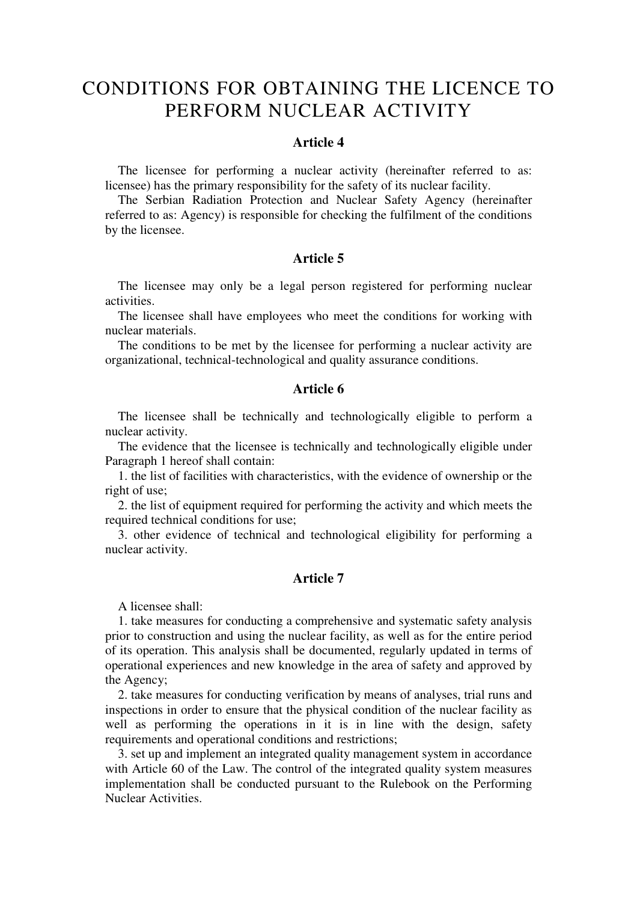### CONDITIONS FOR OBTAINING THE LICENCE TO PERFORM NUCLEAR ACTIVITY

#### **Article 4**

The licensee for performing a nuclear activity (hereinafter referred to as: licensee) has the primary responsibility for the safety of its nuclear facility.

The Serbian Radiation Protection and Nuclear Safety Agency (hereinafter referred to as: Agency) is responsible for checking the fulfilment of the conditions by the licensee.

#### **Article 5**

The licensee may only be a legal person registered for performing nuclear activities.

The licensee shall have employees who meet the conditions for working with nuclear materials.

The conditions to be met by the licensee for performing a nuclear activity are organizational, technical-technological and quality assurance conditions.

#### **Article 6**

The licensee shall be technically and technologically eligible to perform a nuclear activity.

The evidence that the licensee is technically and technologically eligible under Paragraph 1 hereof shall contain:

1. the list of facilities with characteristics, with the evidence of ownership or the right of use;

2. the list of equipment required for performing the activity and which meets the required technical conditions for use;

3. other evidence of technical and technological eligibility for performing a nuclear activity.

#### **Article 7**

A licensee shall:

1. take measures for conducting a comprehensive and systematic safety analysis prior to construction and using the nuclear facility, as well as for the entire period of its operation. This analysis shall be documented, regularly updated in terms of operational experiences and new knowledge in the area of safety and approved by the Agency;

2. take measures for conducting verification by means of analyses, trial runs and inspections in order to ensure that the physical condition of the nuclear facility as well as performing the operations in it is in line with the design, safety requirements and operational conditions and restrictions;

3. set up and implement an integrated quality management system in accordance with Article 60 of the Law. The control of the integrated quality system measures implementation shall be conducted pursuant to the Rulebook on the Performing Nuclear Activities.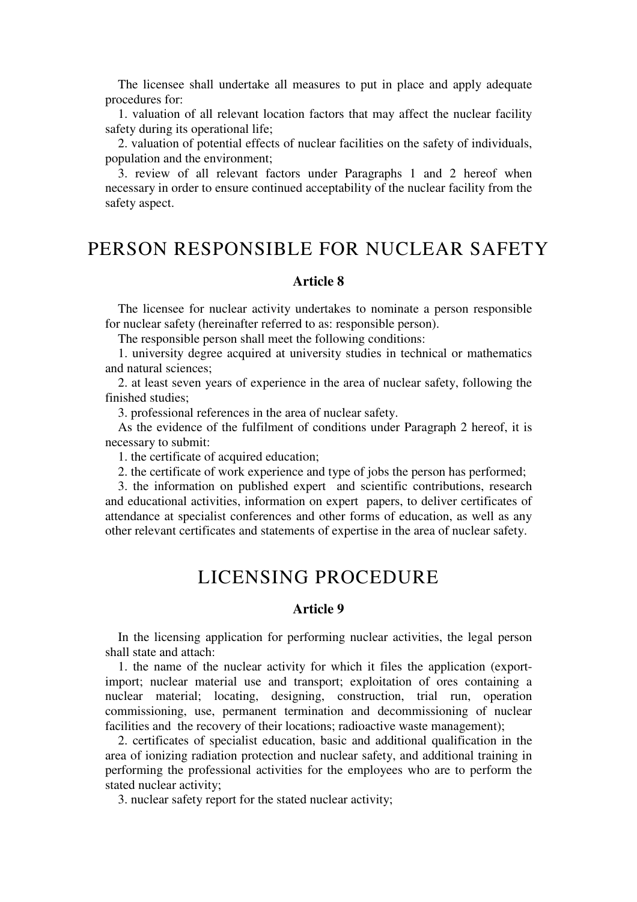The licensee shall undertake all measures to put in place and apply adequate procedures for:

1. valuation of all relevant location factors that may affect the nuclear facility safety during its operational life;

2. valuation of potential effects of nuclear facilities on the safety of individuals, population and the environment;

3. review of all relevant factors under Paragraphs 1 and 2 hereof when necessary in order to ensure continued acceptability of the nuclear facility from the safety aspect.

### PERSON RESPONSIBLE FOR NUCLEAR SAFETY

#### **Article 8**

The licensee for nuclear activity undertakes to nominate a person responsible for nuclear safety (hereinafter referred to as: responsible person).

The responsible person shall meet the following conditions:

1. university degree acquired at university studies in technical or mathematics and natural sciences;

2. at least seven years of experience in the area of nuclear safety, following the finished studies;

3. professional references in the area of nuclear safety.

As the evidence of the fulfilment of conditions under Paragraph 2 hereof, it is necessary to submit:

1. the certificate of acquired education;

2. the certificate of work experience and type of jobs the person has performed;

3. the information on published expert and scientific contributions, research and educational activities, information on expert papers, to deliver certificates of attendance at specialist conferences and other forms of education, as well as any other relevant certificates and statements of expertise in the area of nuclear safety.

### LICENSING PROCEDURE

#### **Article 9**

In the licensing application for performing nuclear activities, the legal person shall state and attach:

1. the name of the nuclear activity for which it files the application (exportimport; nuclear material use and transport; exploitation of ores containing a nuclear material; locating, designing, construction, trial run, operation commissioning, use, permanent termination and decommissioning of nuclear facilities and the recovery of their locations; radioactive waste management);

2. certificates of specialist education, basic and additional qualification in the area of ionizing radiation protection and nuclear safety, and additional training in performing the professional activities for the employees who are to perform the stated nuclear activity;

3. nuclear safety report for the stated nuclear activity;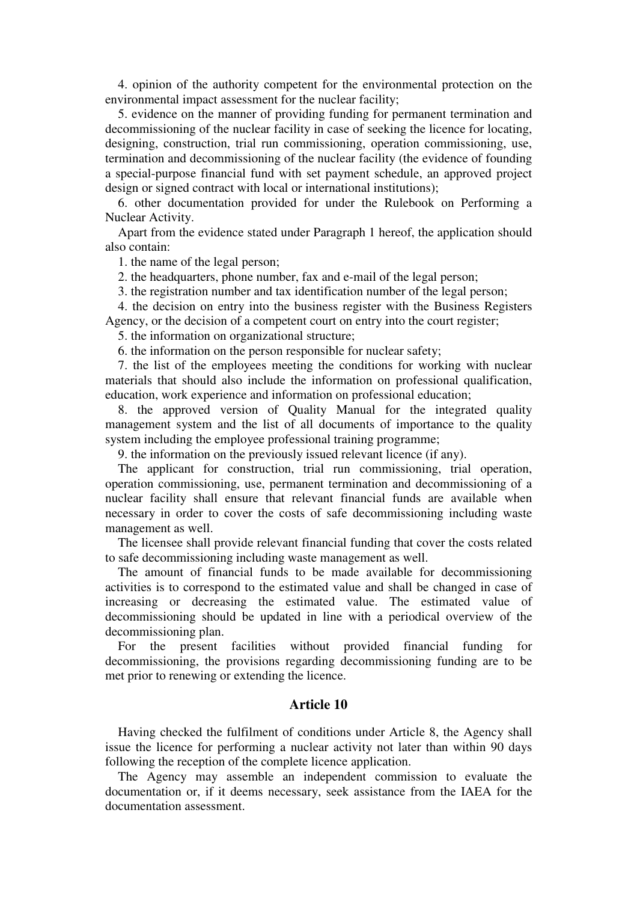4. opinion of the authority competent for the environmental protection on the environmental impact assessment for the nuclear facility;

5. evidence on the manner of providing funding for permanent termination and decommissioning of the nuclear facility in case of seeking the licence for locating, designing, construction, trial run commissioning, operation commissioning, use, termination and decommissioning of the nuclear facility (the evidence of founding a special-purpose financial fund with set payment schedule, an approved project design or signed contract with local or international institutions);

6. other documentation provided for under the Rulebook on Performing a Nuclear Activity.

Apart from the evidence stated under Paragraph 1 hereof, the application should also contain:

1. the name of the legal person;

2. the headquarters, phone number, fax and e-mail of the legal person;

3. the registration number and tax identification number of the legal person;

4. the decision on entry into the business register with the Business Registers Agency, or the decision of a competent court on entry into the court register;

5. the information on organizational structure;

6. the information on the person responsible for nuclear safety;

7. the list of the employees meeting the conditions for working with nuclear materials that should also include the information on professional qualification, education, work experience and information on professional education;

8. the approved version of Quality Manual for the integrated quality management system and the list of all documents of importance to the quality system including the employee professional training programme;

9. the information on the previously issued relevant licence (if any).

The applicant for construction, trial run commissioning, trial operation, operation commissioning, use, permanent termination and decommissioning of a nuclear facility shall ensure that relevant financial funds are available when necessary in order to cover the costs of safe decommissioning including waste management as well.

The licensee shall provide relevant financial funding that cover the costs related to safe decommissioning including waste management as well.

The amount of financial funds to be made available for decommissioning activities is to correspond to the estimated value and shall be changed in case of increasing or decreasing the estimated value. The estimated value of decommissioning should be updated in line with a periodical overview of the decommissioning plan.

For the present facilities without provided financial funding for decommissioning, the provisions regarding decommissioning funding are to be met prior to renewing or extending the licence.

#### **Article 10**

Having checked the fulfilment of conditions under Article 8, the Agency shall issue the licence for performing a nuclear activity not later than within 90 days following the reception of the complete licence application.

The Agency may assemble an independent commission to evaluate the documentation or, if it deems necessary, seek assistance from the IAEA for the documentation assessment.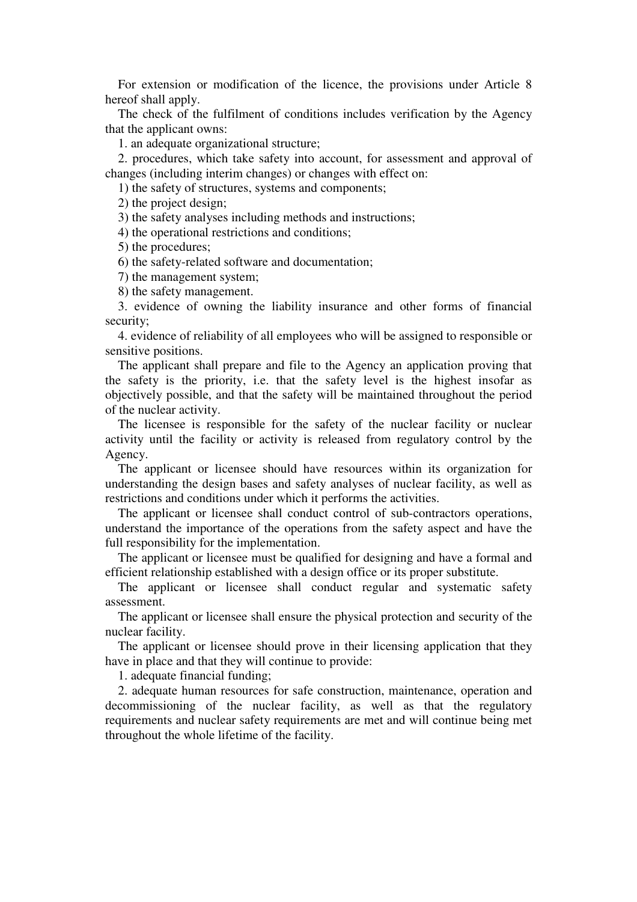For extension or modification of the licence, the provisions under Article 8 hereof shall apply.

The check of the fulfilment of conditions includes verification by the Agency that the applicant owns:

1. an adequate organizational structure;

2. procedures, which take safety into account, for assessment and approval of changes (including interim changes) or changes with effect on:

1) the safety of structures, systems and components;

2) the project design;

3) the safety analyses including methods and instructions;

4) the operational restrictions and conditions;

5) the procedures;

6) the safety-related software and documentation;

7) the management system;

8) the safety management.

3. evidence of owning the liability insurance and other forms of financial security;

4. evidence of reliability of all employees who will be assigned to responsible or sensitive positions.

The applicant shall prepare and file to the Agency an application proving that the safety is the priority, i.e. that the safety level is the highest insofar as objectively possible, and that the safety will be maintained throughout the period of the nuclear activity.

The licensee is responsible for the safety of the nuclear facility or nuclear activity until the facility or activity is released from regulatory control by the Agency.

The applicant or licensee should have resources within its organization for understanding the design bases and safety analyses of nuclear facility, as well as restrictions and conditions under which it performs the activities.

The applicant or licensee shall conduct control of sub-contractors operations, understand the importance of the operations from the safety aspect and have the full responsibility for the implementation.

The applicant or licensee must be qualified for designing and have a formal and efficient relationship established with a design office or its proper substitute.

The applicant or licensee shall conduct regular and systematic safety assessment.

The applicant or licensee shall ensure the physical protection and security of the nuclear facility.

The applicant or licensee should prove in their licensing application that they have in place and that they will continue to provide:

1. adequate financial funding;

2. adequate human resources for safe construction, maintenance, operation and decommissioning of the nuclear facility, as well as that the regulatory requirements and nuclear safety requirements are met and will continue being met throughout the whole lifetime of the facility.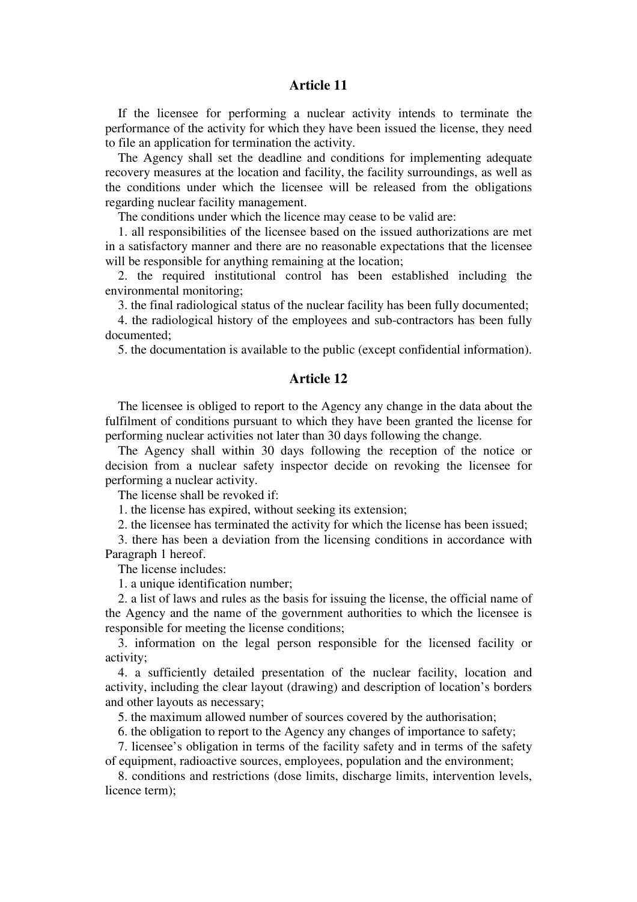If the licensee for performing a nuclear activity intends to terminate the performance of the activity for which they have been issued the license, they need to file an application for termination the activity.

The Agency shall set the deadline and conditions for implementing adequate recovery measures at the location and facility, the facility surroundings, as well as the conditions under which the licensee will be released from the obligations regarding nuclear facility management.

The conditions under which the licence may cease to be valid are:

1. all responsibilities of the licensee based on the issued authorizations are met in a satisfactory manner and there are no reasonable expectations that the licensee will be responsible for anything remaining at the location;

2. the required institutional control has been established including the environmental monitoring;

3. the final radiological status of the nuclear facility has been fully documented;

4. the radiological history of the employees and sub-contractors has been fully documented;

5. the documentation is available to the public (except confidential information).

#### **Article 12**

The licensee is obliged to report to the Agency any change in the data about the fulfilment of conditions pursuant to which they have been granted the license for performing nuclear activities not later than 30 days following the change.

The Agency shall within 30 days following the reception of the notice or decision from a nuclear safety inspector decide on revoking the licensee for performing a nuclear activity.

The license shall be revoked if:

1. the license has expired, without seeking its extension;

2. the licensee has terminated the activity for which the license has been issued;

3. there has been a deviation from the licensing conditions in accordance with Paragraph 1 hereof.

The license includes:

1. a unique identification number;

2. a list of laws and rules as the basis for issuing the license, the official name of the Agency and the name of the government authorities to which the licensee is responsible for meeting the license conditions;

3. information on the legal person responsible for the licensed facility or activity;

4. a sufficiently detailed presentation of the nuclear facility, location and activity, including the clear layout (drawing) and description of location's borders and other layouts as necessary;

5. the maximum allowed number of sources covered by the authorisation;

6. the obligation to report to the Agency any changes of importance to safety;

7. licensee's obligation in terms of the facility safety and in terms of the safety of equipment, radioactive sources, employees, population and the environment;

8. conditions and restrictions (dose limits, discharge limits, intervention levels, licence term);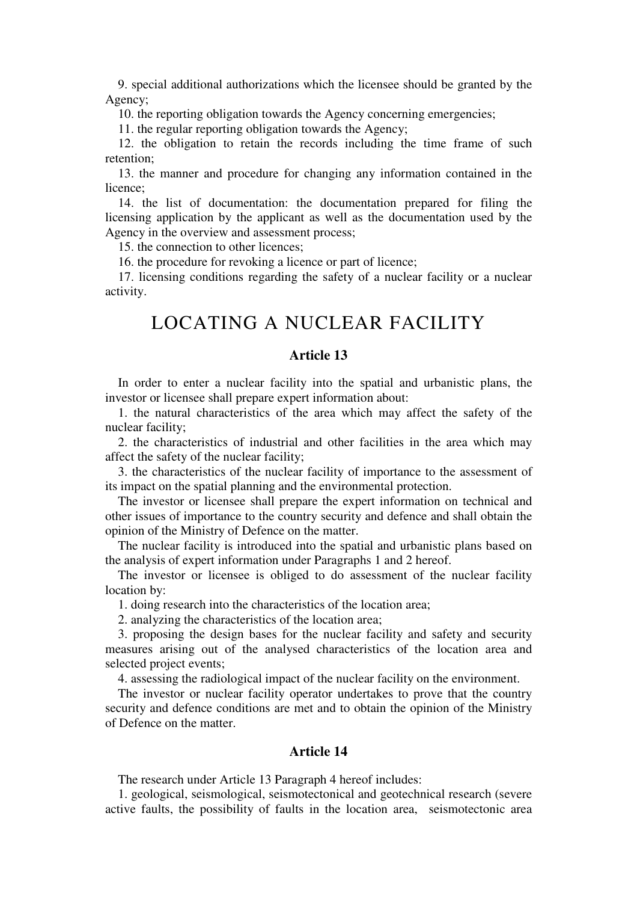9. special additional authorizations which the licensee should be granted by the Agency;

10. the reporting obligation towards the Agency concerning emergencies;

11. the regular reporting obligation towards the Agency;

12. the obligation to retain the records including the time frame of such retention;

13. the manner and procedure for changing any information contained in the licence;

14. the list of documentation: the documentation prepared for filing the licensing application by the applicant as well as the documentation used by the Agency in the overview and assessment process;

15. the connection to other licences;

16. the procedure for revoking a licence or part of licence;

17. licensing conditions regarding the safety of a nuclear facility or a nuclear activity.

## LOCATING A NUCLEAR FACILITY

#### **Article 13**

In order to enter a nuclear facility into the spatial and urbanistic plans, the investor or licensee shall prepare expert information about:

1. the natural characteristics of the area which may affect the safety of the nuclear facility;

2. the characteristics of industrial and other facilities in the area which may affect the safety of the nuclear facility;

3. the characteristics of the nuclear facility of importance to the assessment of its impact on the spatial planning and the environmental protection.

The investor or licensee shall prepare the expert information on technical and other issues of importance to the country security and defence and shall obtain the opinion of the Ministry of Defence on the matter.

The nuclear facility is introduced into the spatial and urbanistic plans based on the analysis of expert information under Paragraphs 1 and 2 hereof.

The investor or licensee is obliged to do assessment of the nuclear facility location by:

1. doing research into the characteristics of the location area;

2. analyzing the characteristics of the location area;

3. proposing the design bases for the nuclear facility and safety and security measures arising out of the analysed characteristics of the location area and selected project events;

4. assessing the radiological impact of the nuclear facility on the environment.

The investor or nuclear facility operator undertakes to prove that the country security and defence conditions are met and to obtain the opinion of the Ministry of Defence on the matter.

#### **Article 14**

The research under Article 13 Paragraph 4 hereof includes:

1. geological, seismological, seismotectonical and geotechnical research (severe active faults, the possibility of faults in the location area, seismotectonic area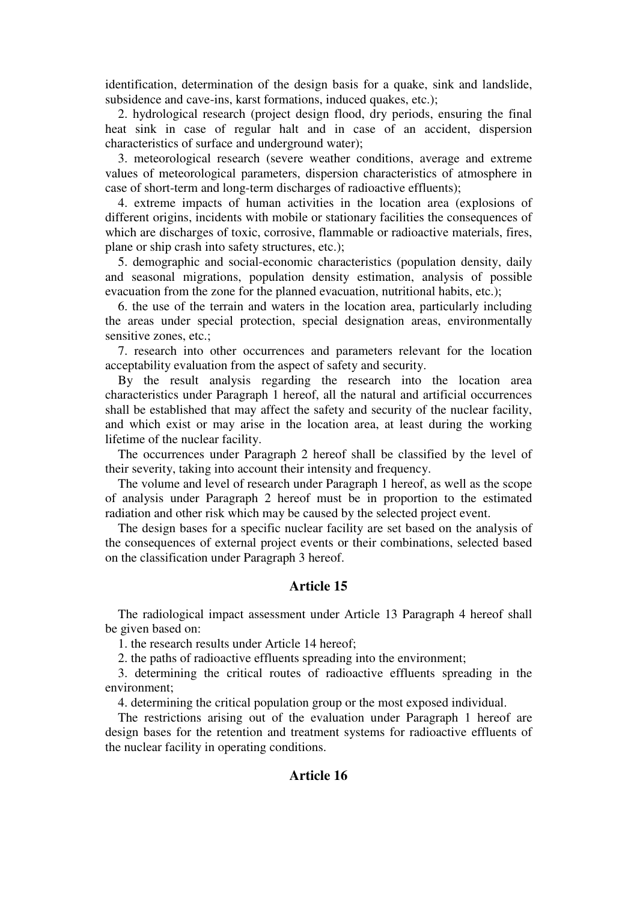identification, determination of the design basis for a quake, sink and landslide, subsidence and cave-ins, karst formations, induced quakes, etc.);

2. hydrological research (project design flood, dry periods, ensuring the final heat sink in case of regular halt and in case of an accident, dispersion characteristics of surface and underground water);

3. meteorological research (severe weather conditions, average and extreme values of meteorological parameters, dispersion characteristics of atmosphere in case of short-term and long-term discharges of radioactive effluents);

4. extreme impacts of human activities in the location area (explosions of different origins, incidents with mobile or stationary facilities the consequences of which are discharges of toxic, corrosive, flammable or radioactive materials, fires, plane or ship crash into safety structures, etc.);

5. demographic and social-economic characteristics (population density, daily and seasonal migrations, population density estimation, analysis of possible evacuation from the zone for the planned evacuation, nutritional habits, etc.);

6. the use of the terrain and waters in the location area, particularly including the areas under special protection, special designation areas, environmentally sensitive zones, etc.;

7. research into other occurrences and parameters relevant for the location acceptability evaluation from the aspect of safety and security.

By the result analysis regarding the research into the location area characteristics under Paragraph 1 hereof, all the natural and artificial occurrences shall be established that may affect the safety and security of the nuclear facility, and which exist or may arise in the location area, at least during the working lifetime of the nuclear facility.

The occurrences under Paragraph 2 hereof shall be classified by the level of their severity, taking into account their intensity and frequency.

The volume and level of research under Paragraph 1 hereof, as well as the scope of analysis under Paragraph 2 hereof must be in proportion to the estimated radiation and other risk which may be caused by the selected project event.

The design bases for a specific nuclear facility are set based on the analysis of the consequences of external project events or their combinations, selected based on the classification under Paragraph 3 hereof.

#### **Article 15**

The radiological impact assessment under Article 13 Paragraph 4 hereof shall be given based on:

1. the research results under Article 14 hereof;

2. the paths of radioactive effluents spreading into the environment;

3. determining the critical routes of radioactive effluents spreading in the environment;

4. determining the critical population group or the most exposed individual.

The restrictions arising out of the evaluation under Paragraph 1 hereof are design bases for the retention and treatment systems for radioactive effluents of the nuclear facility in operating conditions.

#### **Article 16**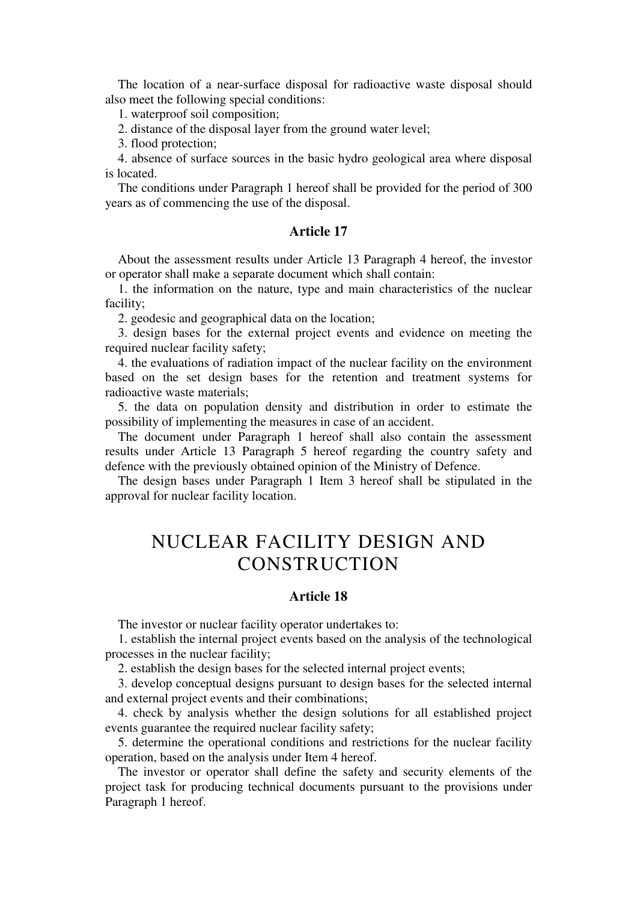The location of a near-surface disposal for radioactive waste disposal should also meet the following special conditions:

1. waterproof soil composition;

2. distance of the disposal layer from the ground water level;

3. flood protection;

4. absence of surface sources in the basic hydro geological area where disposal is located.

The conditions under Paragraph 1 hereof shall be provided for the period of 300 years as of commencing the use of the disposal.

#### **Article 17**

About the assessment results under Article 13 Paragraph 4 hereof, the investor or operator shall make a separate document which shall contain:

1. the information on the nature, type and main characteristics of the nuclear facility;

2. geodesic and geographical data on the location;

3. design bases for the external project events and evidence on meeting the required nuclear facility safety;

4. the evaluations of radiation impact of the nuclear facility on the environment based on the set design bases for the retention and treatment systems for radioactive waste materials;

5. the data on population density and distribution in order to estimate the possibility of implementing the measures in case of an accident.

The document under Paragraph 1 hereof shall also contain the assessment results under Article 13 Paragraph 5 hereof regarding the country safety and defence with the previously obtained opinion of the Ministry of Defence.

The design bases under Paragraph 1 Item 3 hereof shall be stipulated in the approval for nuclear facility location.

### NUCLEAR FACILITY DESIGN AND **CONSTRUCTION**

#### **Article 18**

The investor or nuclear facility operator undertakes to:

1. establish the internal project events based on the analysis of the technological processes in the nuclear facility;

2. establish the design bases for the selected internal project events;

3. develop conceptual designs pursuant to design bases for the selected internal and external project events and their combinations;

4. check by analysis whether the design solutions for all established project events guarantee the required nuclear facility safety;

5. determine the operational conditions and restrictions for the nuclear facility operation, based on the analysis under Item 4 hereof.

The investor or operator shall define the safety and security elements of the project task for producing technical documents pursuant to the provisions under Paragraph 1 hereof.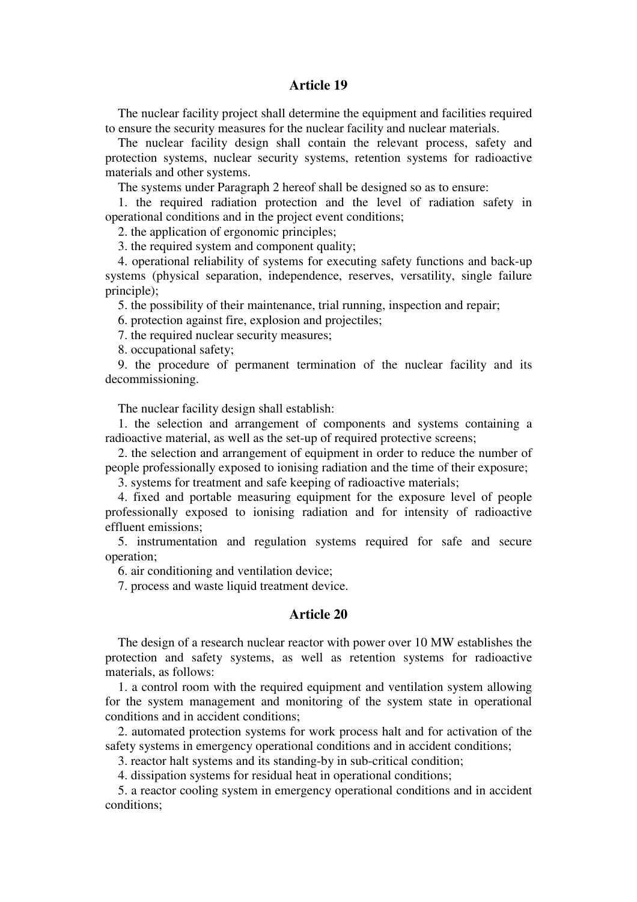The nuclear facility project shall determine the equipment and facilities required to ensure the security measures for the nuclear facility and nuclear materials.

The nuclear facility design shall contain the relevant process, safety and protection systems, nuclear security systems, retention systems for radioactive materials and other systems.

The systems under Paragraph 2 hereof shall be designed so as to ensure:

1. the required radiation protection and the level of radiation safety in operational conditions and in the project event conditions;

2. the application of ergonomic principles;

3. the required system and component quality;

4. operational reliability of systems for executing safety functions and back-up systems (physical separation, independence, reserves, versatility, single failure principle);

5. the possibility of their maintenance, trial running, inspection and repair;

6. protection against fire, explosion and projectiles;

7. the required nuclear security measures;

8. occupational safety;

9. the procedure of permanent termination of the nuclear facility and its decommissioning.

The nuclear facility design shall establish:

1. the selection and arrangement of components and systems containing a radioactive material, as well as the set-up of required protective screens;

2. the selection and arrangement of equipment in order to reduce the number of people professionally exposed to ionising radiation and the time of their exposure;

3. systems for treatment and safe keeping of radioactive materials;

4. fixed and portable measuring equipment for the exposure level of people professionally exposed to ionising radiation and for intensity of radioactive effluent emissions;

5. instrumentation and regulation systems required for safe and secure operation;

6. air conditioning and ventilation device;

7. process and waste liquid treatment device.

#### **Article 20**

The design of a research nuclear reactor with power over 10 МW establishes the protection and safety systems, as well as retention systems for radioactive materials, as follows:

1. a control room with the required equipment and ventilation system allowing for the system management and monitoring of the system state in operational conditions and in accident conditions;

2. automated protection systems for work process halt and for activation of the safety systems in emergency operational conditions and in accident conditions;

3. reactor halt systems and its standing-by in sub-critical condition;

4. dissipation systems for residual heat in operational conditions;

5. a reactor cooling system in emergency operational conditions and in accident conditions;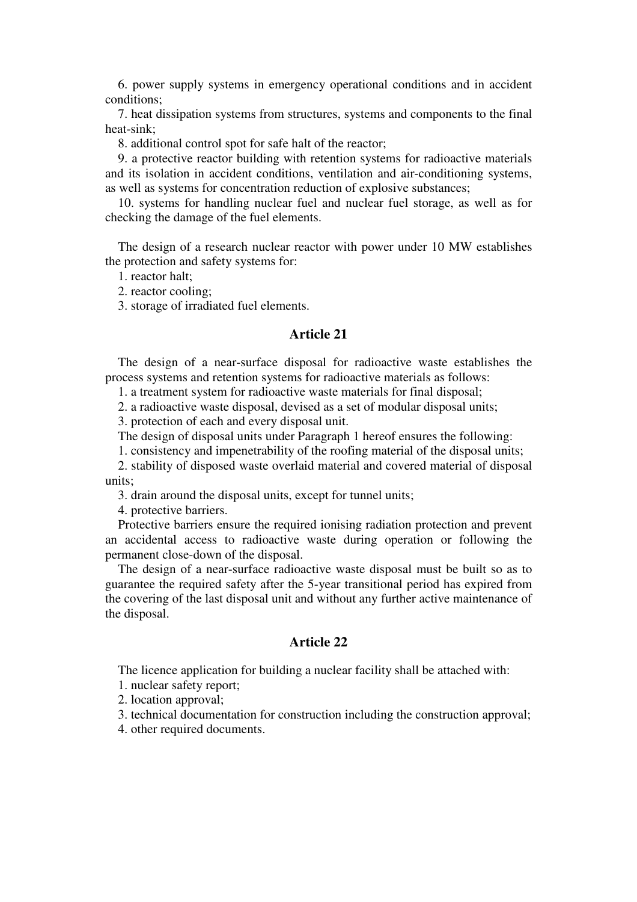6. power supply systems in emergency operational conditions and in accident conditions;

7. heat dissipation systems from structures, systems and components to the final heat-sink;

8. additional control spot for safe halt of the reactor;

9. a protective reactor building with retention systems for radioactive materials and its isolation in accident conditions, ventilation and air-conditioning systems, as well as systems for concentration reduction of explosive substances;

10. systems for handling nuclear fuel and nuclear fuel storage, as well as for checking the damage of the fuel elements.

The design of a research nuclear reactor with power under 10 МW establishes the protection and safety systems for:

1. reactor halt;

2. reactor cooling;

3. storage of irradiated fuel elements.

#### **Article 21**

The design of a near-surface disposal for radioactive waste establishes the process systems and retention systems for radioactive materials as follows:

1. a treatment system for radioactive waste materials for final disposal;

2. a radioactive waste disposal, devised as a set of modular disposal units;

3. protection of each and every disposal unit.

The design of disposal units under Paragraph 1 hereof ensures the following:

1. consistency and impenetrability of the roofing material of the disposal units;

2. stability of disposed waste overlaid material and covered material of disposal units;

3. drain around the disposal units, except for tunnel units;

4. protective barriers.

Protective barriers ensure the required ionising radiation protection and prevent an accidental access to radioactive waste during operation or following the permanent close-down of the disposal.

The design of a near-surface radioactive waste disposal must be built so as to guarantee the required safety after the 5-year transitional period has expired from the covering of the last disposal unit and without any further active maintenance of the disposal.

#### **Article 22**

The licence application for building a nuclear facility shall be attached with:

1. nuclear safety report;

2. location approval;

3. technical documentation for construction including the construction approval;

4. other required documents.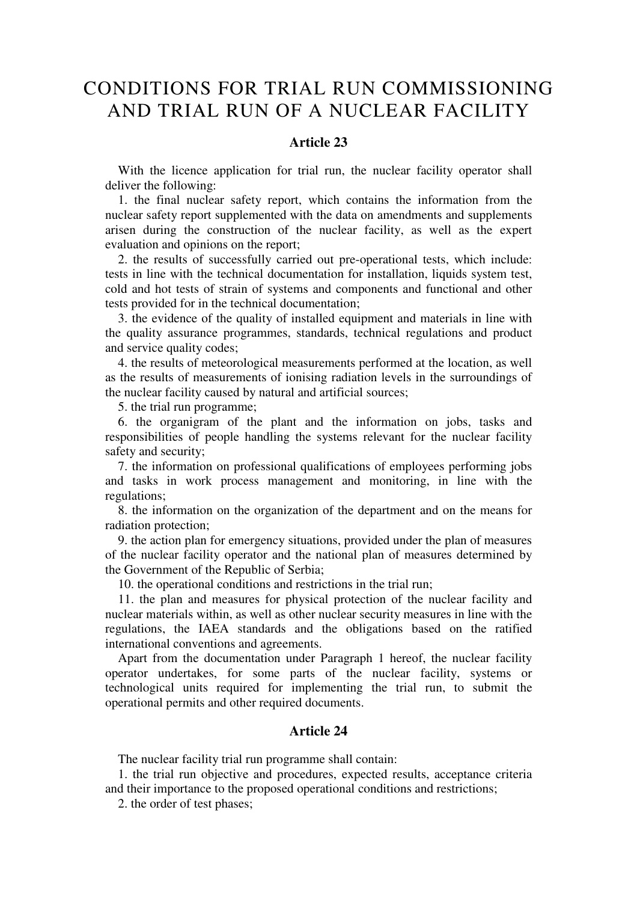### CONDITIONS FOR TRIAL RUN COMMISSIONING AND TRIAL RUN OF A NUCLEAR FACILITY

#### **Article 23**

With the licence application for trial run, the nuclear facility operator shall deliver the following:

1. the final nuclear safety report, which contains the information from the nuclear safety report supplemented with the data on amendments and supplements arisen during the construction of the nuclear facility, as well as the expert evaluation and opinions on the report;

2. the results of successfully carried out pre-operational tests, which include: tests in line with the technical documentation for installation, liquids system test, cold and hot tests of strain of systems and components and functional and other tests provided for in the technical documentation;

3. the evidence of the quality of installed equipment and materials in line with the quality assurance programmes, standards, technical regulations and product and service quality codes;

4. the results of meteorological measurements performed at the location, as well as the results of measurements of ionising radiation levels in the surroundings of the nuclear facility caused by natural and artificial sources;

5. the trial run programme;

6. the organigram of the plant and the information on jobs, tasks and responsibilities of people handling the systems relevant for the nuclear facility safety and security;

7. the information on professional qualifications of employees performing jobs and tasks in work process management and monitoring, in line with the regulations;

8. the information on the organization of the department and on the means for radiation protection;

9. the action plan for emergency situations, provided under the plan of measures of the nuclear facility operator and the national plan of measures determined by the Government of the Republic of Serbia;

10. the operational conditions and restrictions in the trial run;

11. the plan and measures for physical protection of the nuclear facility and nuclear materials within, as well as other nuclear security measures in line with the regulations, the IAEA standards and the obligations based on the ratified international conventions and agreements.

Apart from the documentation under Paragraph 1 hereof, the nuclear facility operator undertakes, for some parts of the nuclear facility, systems or technological units required for implementing the trial run, to submit the operational permits and other required documents.

#### **Article 24**

The nuclear facility trial run programme shall contain:

1. the trial run objective and procedures, expected results, acceptance criteria and their importance to the proposed operational conditions and restrictions;

2. the order of test phases;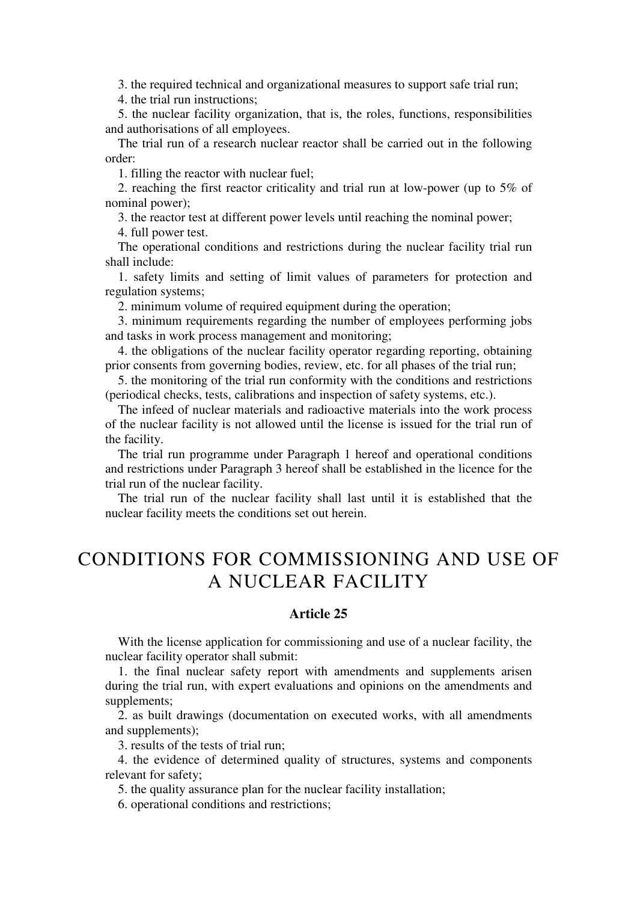3. the required technical and organizational measures to support safe trial run;

4. the trial run instructions;

5. the nuclear facility organization, that is, the roles, functions, responsibilities and authorisations of all employees.

The trial run of a research nuclear reactor shall be carried out in the following order:

1. filling the reactor with nuclear fuel;

2. reaching the first reactor criticality and trial run at low-power (up to 5% of nominal power);

3. the reactor test at different power levels until reaching the nominal power;

4. full power test.

The operational conditions and restrictions during the nuclear facility trial run shall include:

1. safety limits and setting of limit values of parameters for protection and regulation systems;

2. minimum volume of required equipment during the operation;

3. minimum requirements regarding the number of employees performing jobs and tasks in work process management and monitoring;

4. the obligations of the nuclear facility operator regarding reporting, obtaining prior consents from governing bodies, review, etc. for all phases of the trial run;

5. the monitoring of the trial run conformity with the conditions and restrictions (periodical checks, tests, calibrations and inspection of safety systems, etc.).

The infeed of nuclear materials and radioactive materials into the work process of the nuclear facility is not allowed until the license is issued for the trial run of the facility.

The trial run programme under Paragraph 1 hereof and operational conditions and restrictions under Paragraph 3 hereof shall be established in the licence for the trial run of the nuclear facility.

The trial run of the nuclear facility shall last until it is established that the nuclear facility meets the conditions set out herein.

# CONDITIONS FOR COMMISSIONING AND USE OF A NUCLEAR FACILITY

#### **Article 25**

With the license application for commissioning and use of a nuclear facility, the nuclear facility operator shall submit:

1. the final nuclear safety report with amendments and supplements arisen during the trial run, with expert evaluations and opinions on the amendments and supplements;

2. as built drawings (documentation on executed works, with all amendments and supplements);

3. results of the tests of trial run;

4. the evidence of determined quality of structures, systems and components relevant for safety;

5. the quality assurance plan for the nuclear facility installation;

6. operational conditions and restrictions;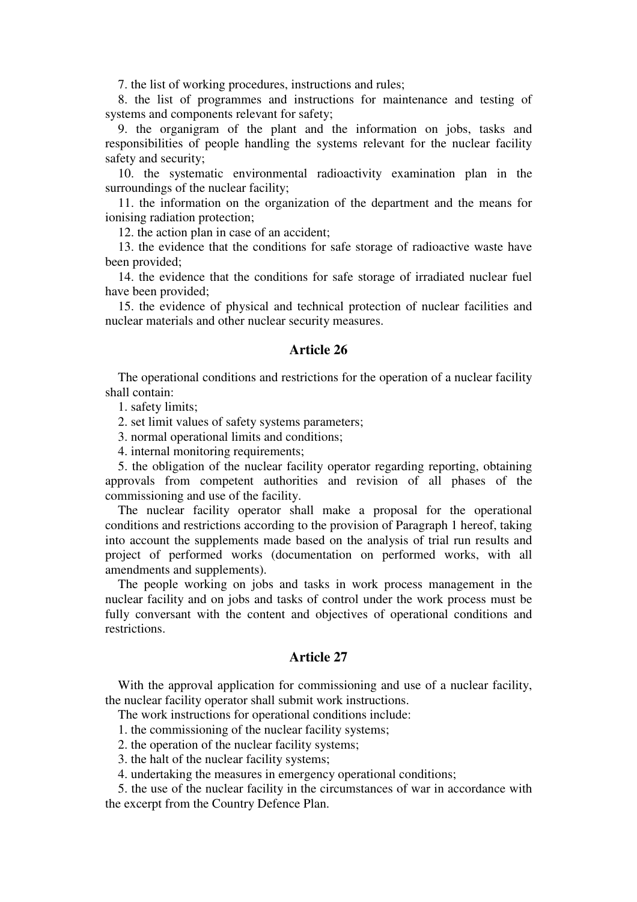7. the list of working procedures, instructions and rules;

8. the list of programmes and instructions for maintenance and testing of systems and components relevant for safety;

9. the organigram of the plant and the information on jobs, tasks and responsibilities of people handling the systems relevant for the nuclear facility safety and security;

10. the systematic environmental radioactivity examination plan in the surroundings of the nuclear facility;

11. the information on the organization of the department and the means for ionising radiation protection;

12. the action plan in case of an accident;

13. the evidence that the conditions for safe storage of radioactive waste have been provided;

14. the evidence that the conditions for safe storage of irradiated nuclear fuel have been provided;

15. the evidence of physical and technical protection of nuclear facilities and nuclear materials and other nuclear security measures.

#### **Article 26**

The operational conditions and restrictions for the operation of a nuclear facility shall contain:

1. safety limits;

2. set limit values of safety systems parameters;

3. normal operational limits and conditions;

4. internal monitoring requirements;

5. the obligation of the nuclear facility operator regarding reporting, obtaining approvals from competent authorities and revision of all phases of the commissioning and use of the facility.

The nuclear facility operator shall make a proposal for the operational conditions and restrictions according to the provision of Paragraph 1 hereof, taking into account the supplements made based on the analysis of trial run results and project of performed works (documentation on performed works, with all amendments and supplements).

The people working on jobs and tasks in work process management in the nuclear facility and on jobs and tasks of control under the work process must be fully conversant with the content and objectives of operational conditions and restrictions.

#### **Article 27**

With the approval application for commissioning and use of a nuclear facility, the nuclear facility operator shall submit work instructions.

The work instructions for operational conditions include:

1. the commissioning of the nuclear facility systems;

2. the operation of the nuclear facility systems;

3. the halt of the nuclear facility systems;

4. undertaking the measures in emergency operational conditions;

5. the use of the nuclear facility in the circumstances of war in accordance with the excerpt from the Country Defence Plan.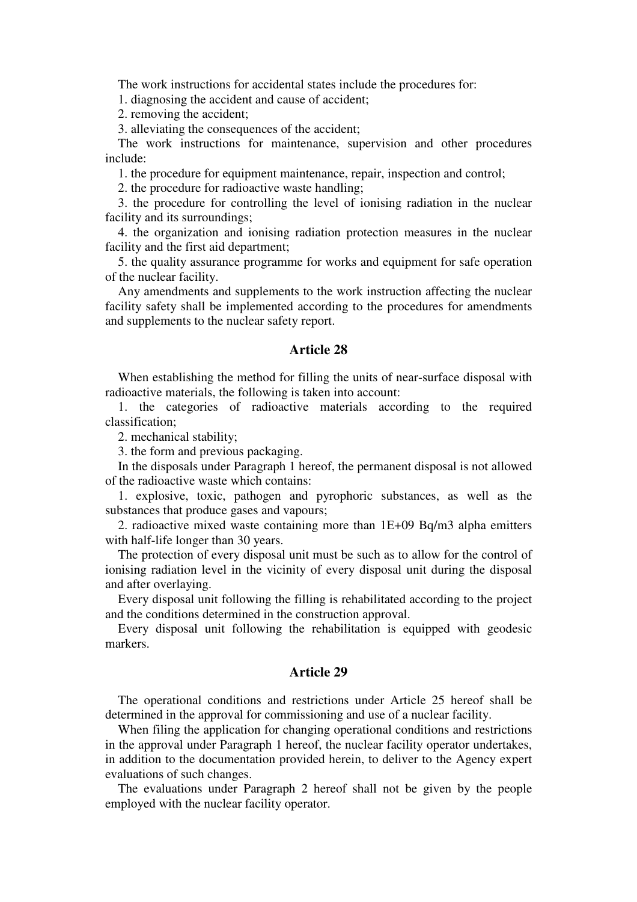The work instructions for accidental states include the procedures for:

1. diagnosing the accident and cause of accident;

2. removing the accident;

3. alleviating the consequences of the accident;

The work instructions for maintenance, supervision and other procedures include:

1. the procedure for equipment maintenance, repair, inspection and control;

2. the procedure for radioactive waste handling;

3. the procedure for controlling the level of ionising radiation in the nuclear facility and its surroundings;

4. the organization and ionising radiation protection measures in the nuclear facility and the first aid department;

5. the quality assurance programme for works and equipment for safe operation of the nuclear facility.

Any amendments and supplements to the work instruction affecting the nuclear facility safety shall be implemented according to the procedures for amendments and supplements to the nuclear safety report.

#### **Article 28**

When establishing the method for filling the units of near-surface disposal with radioactive materials, the following is taken into account:

1. the categories of radioactive materials according to the required classification;

2. mechanical stability;

3. the form and previous packaging.

In the disposals under Paragraph 1 hereof, the permanent disposal is not allowed of the radioactive waste which contains:

1. explosive, toxic, pathogen and pyrophoric substances, as well as the substances that produce gases and vapours;

2. radioactive mixed waste containing more than 1Е+09 Bq/m3 аlpha emitters with half-life longer than 30 years.

The protection of every disposal unit must be such as to allow for the control of ionising radiation level in the vicinity of every disposal unit during the disposal and after overlaying.

Every disposal unit following the filling is rehabilitated according to the project and the conditions determined in the construction approval.

Every disposal unit following the rehabilitation is equipped with geodesic markers.

#### **Article 29**

The operational conditions and restrictions under Article 25 hereof shall be determined in the approval for commissioning and use of a nuclear facility.

When filing the application for changing operational conditions and restrictions in the approval under Paragraph 1 hereof, the nuclear facility operator undertakes, in addition to the documentation provided herein, to deliver to the Agency expert evaluations of such changes.

The evaluations under Paragraph 2 hereof shall not be given by the people employed with the nuclear facility operator.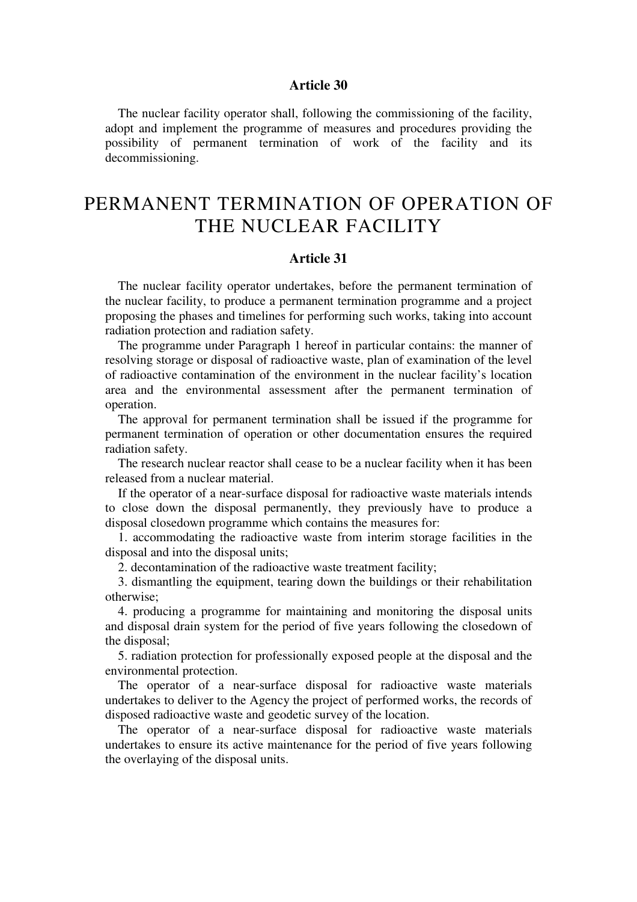The nuclear facility operator shall, following the commissioning of the facility, adopt and implement the programme of measures and procedures providing the possibility of permanent termination of work of the facility and its decommissioning.

### PERMANENT TERMINATION OF OPERATION OF THE NUCLEAR FACILITY

#### **Article 31**

The nuclear facility operator undertakes, before the permanent termination of the nuclear facility, to produce a permanent termination programme and a project proposing the phases and timelines for performing such works, taking into account radiation protection and radiation safety.

The programme under Paragraph 1 hereof in particular contains: the manner of resolving storage or disposal of radioactive waste, plan of examination of the level of radioactive contamination of the environment in the nuclear facility's location area and the environmental assessment after the permanent termination of operation.

The approval for permanent termination shall be issued if the programme for permanent termination of operation or other documentation ensures the required radiation safety.

The research nuclear reactor shall cease to be a nuclear facility when it has been released from a nuclear material.

If the operator of a near-surface disposal for radioactive waste materials intends to close down the disposal permanently, they previously have to produce a disposal closedown programme which contains the measures for:

1. accommodating the radioactive waste from interim storage facilities in the disposal and into the disposal units;

2. decontamination of the radioactive waste treatment facility;

3. dismantling the equipment, tearing down the buildings or their rehabilitation otherwise;

4. producing a programme for maintaining and monitoring the disposal units and disposal drain system for the period of five years following the closedown of the disposal;

5. radiation protection for professionally exposed people at the disposal and the environmental protection.

The operator of a near-surface disposal for radioactive waste materials undertakes to deliver to the Agency the project of performed works, the records of disposed radioactive waste and geodetic survey of the location.

The operator of a near-surface disposal for radioactive waste materials undertakes to ensure its active maintenance for the period of five years following the overlaying of the disposal units.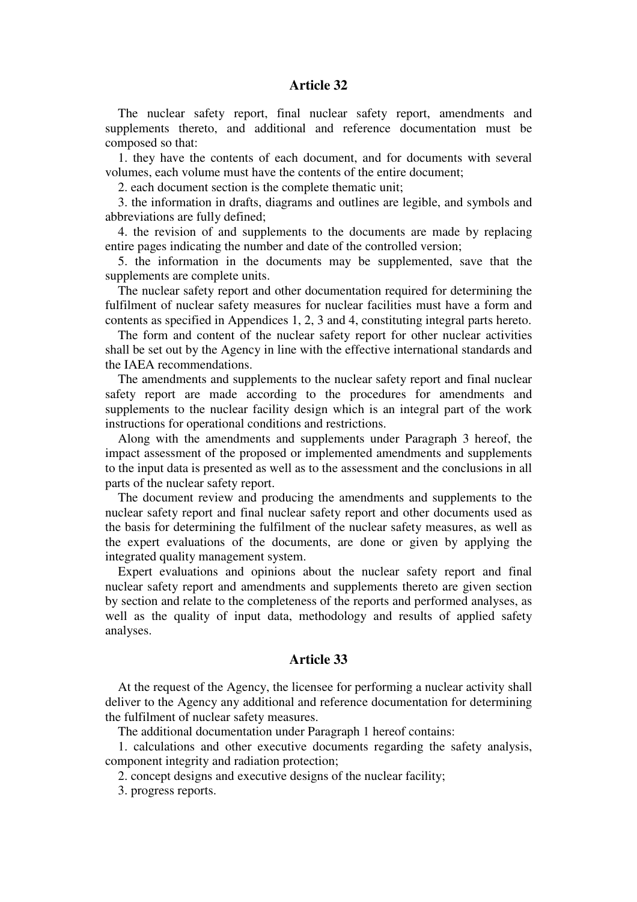The nuclear safety report, final nuclear safety report, amendments and supplements thereto, and additional and reference documentation must be composed so that:

1. they have the contents of each document, and for documents with several volumes, each volume must have the contents of the entire document;

2. each document section is the complete thematic unit;

3. the information in drafts, diagrams and outlines are legible, and symbols and abbreviations are fully defined;

4. the revision of and supplements to the documents are made by replacing entire pages indicating the number and date of the controlled version;

5. the information in the documents may be supplemented, save that the supplements are complete units.

The nuclear safety report and other documentation required for determining the fulfilment of nuclear safety measures for nuclear facilities must have a form and contents as specified in Appendices 1, 2, 3 and 4, constituting integral parts hereto.

The form and content of the nuclear safety report for other nuclear activities shall be set out by the Agency in line with the effective international standards and the IAEA recommendations.

The amendments and supplements to the nuclear safety report and final nuclear safety report are made according to the procedures for amendments and supplements to the nuclear facility design which is an integral part of the work instructions for operational conditions and restrictions.

Along with the amendments and supplements under Paragraph 3 hereof, the impact assessment of the proposed or implemented amendments and supplements to the input data is presented as well as to the assessment and the conclusions in all parts of the nuclear safety report.

The document review and producing the amendments and supplements to the nuclear safety report and final nuclear safety report and other documents used as the basis for determining the fulfilment of the nuclear safety measures, as well as the expert evaluations of the documents, are done or given by applying the integrated quality management system.

Expert evaluations and opinions about the nuclear safety report and final nuclear safety report and amendments and supplements thereto are given section by section and relate to the completeness of the reports and performed analyses, as well as the quality of input data, methodology and results of applied safety analyses.

#### **Article 33**

At the request of the Agency, the licensee for performing a nuclear activity shall deliver to the Agency any additional and reference documentation for determining the fulfilment of nuclear safety measures.

The additional documentation under Paragraph 1 hereof contains:

1. calculations and other executive documents regarding the safety analysis, component integrity and radiation protection;

2. concept designs and executive designs of the nuclear facility;

3. progress reports.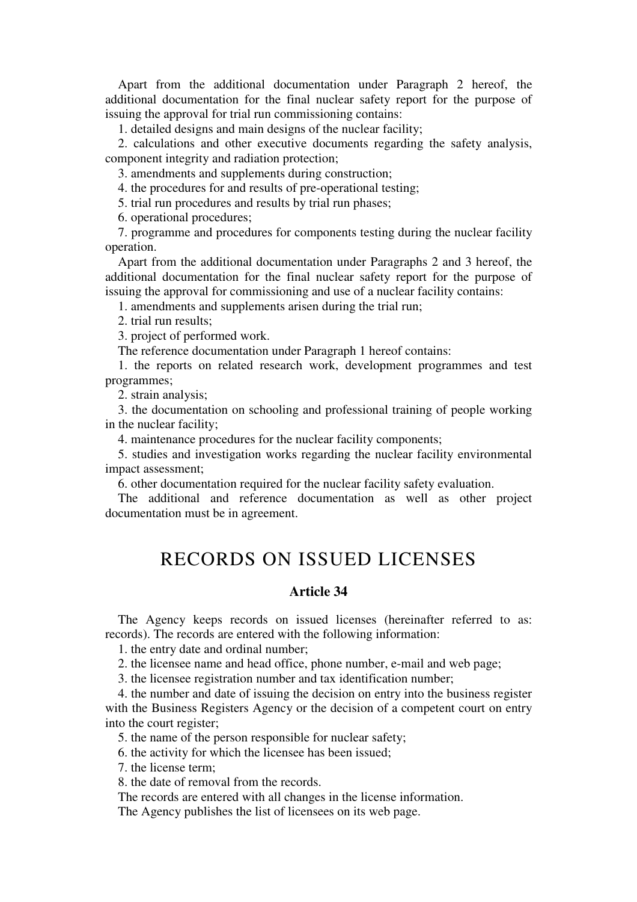Apart from the additional documentation under Paragraph 2 hereof, the additional documentation for the final nuclear safety report for the purpose of issuing the approval for trial run commissioning contains:

1. detailed designs and main designs of the nuclear facility;

2. calculations and other executive documents regarding the safety analysis, component integrity and radiation protection;

3. amendments and supplements during construction;

4. the procedures for and results of pre-operational testing;

5. trial run procedures and results by trial run phases;

6. operational procedures;

7. programme and procedures for components testing during the nuclear facility operation.

Apart from the additional documentation under Paragraphs 2 and 3 hereof, the additional documentation for the final nuclear safety report for the purpose of issuing the approval for commissioning and use of a nuclear facility contains:

1. amendments and supplements arisen during the trial run;

2. trial run results;

3. project of performed work.

The reference documentation under Paragraph 1 hereof contains:

1. the reports on related research work, development programmes and test programmes;

2. strain analysis;

3. the documentation on schooling and professional training of people working in the nuclear facility;

4. maintenance procedures for the nuclear facility components;

5. studies and investigation works regarding the nuclear facility environmental impact assessment;

6. other documentation required for the nuclear facility safety evaluation.

The additional and reference documentation as well as other project documentation must be in agreement.

### RECORDS ON ISSUED LICENSES

#### **Article 34**

The Agency keeps records on issued licenses (hereinafter referred to as: records). The records are entered with the following information:

1. the entry date and ordinal number;

2. the licensee name and head office, phone number, e-mail and web page;

3. the licensee registration number and tax identification number;

4. the number and date of issuing the decision on entry into the business register with the Business Registers Agency or the decision of a competent court on entry into the court register;

5. the name of the person responsible for nuclear safety;

6. the activity for which the licensee has been issued;

7. the license term;

8. the date of removal from the records.

The records are entered with all changes in the license information.

The Agency publishes the list of licensees on its web page.